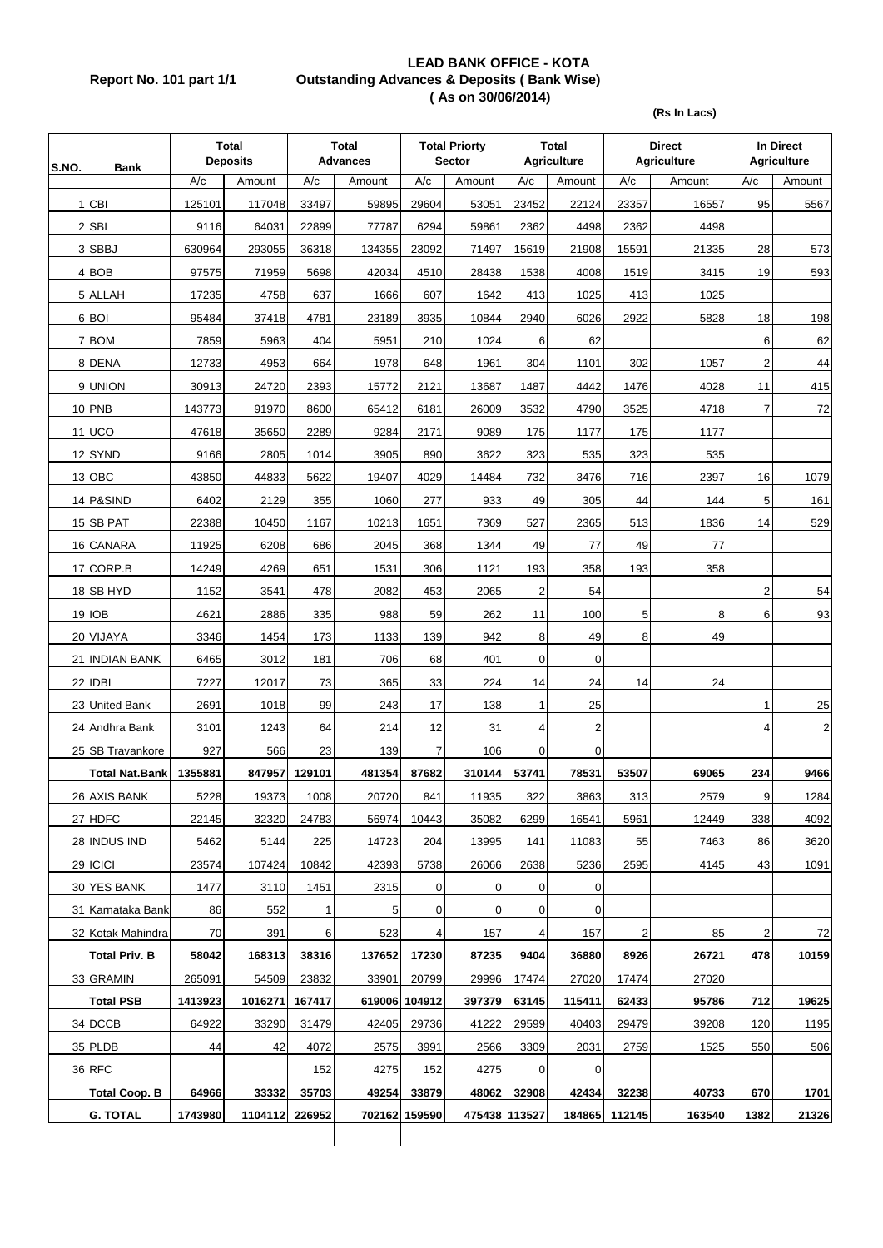## **LEAD BANK OFFICE - KOTA Report No. 101 part 1/1 Outstanding Advances & Deposits ( Bank Wise) ( As on 30/06/2014)**

**(Rs In Lacs)**

| S.NO. | <b>Bank</b>           |         | <b>Total</b><br><b>Deposits</b> |             | <b>Total</b><br><b>Advances</b> |               | <b>Total Priorty</b><br><b>Sector</b> |                | Total<br><b>Agriculture</b> |               | <b>Direct</b><br><b>Agriculture</b> | In Direct<br><b>Agriculture</b> |              |
|-------|-----------------------|---------|---------------------------------|-------------|---------------------------------|---------------|---------------------------------------|----------------|-----------------------------|---------------|-------------------------------------|---------------------------------|--------------|
|       |                       | A/c     | Amount                          | A/c         | Amount                          | A/c           | Amount                                | A/c            | Amount                      | A/c           | Amount                              | A/c                             | Amount       |
|       | $1$ CBI               | 125101  | 117048                          | 33497       | 59895                           | 29604         | 53051                                 | 23452          | 22124                       | 23357         | 16557                               | 95                              | 5567         |
|       | 2 SBI                 | 9116    | 64031                           | 22899       | 77787                           | 6294          | 59861                                 | 2362           | 4498                        | 2362          | 4498                                |                                 |              |
|       | 3 SBBJ                | 630964  | 293055                          | 36318       | 134355                          | 23092         | 71497                                 | 15619          | 21908                       | 15591         | 21335                               | 28                              | 573          |
|       | 4 BOB                 | 97575   | 71959                           | 5698        | 42034                           | 4510          | 28438                                 | 1538           | 4008                        | 1519          | 3415                                | 19                              | 593          |
|       | 5 ALLAH               | 17235   | 4758                            | 637         | 1666                            | 607           | 1642                                  | 413            | 1025                        | 413           | 1025                                |                                 |              |
|       | 6 BOI                 | 95484   | 37418                           | 4781        | 23189                           | 3935          | 10844                                 | 2940           | 6026                        | 2922          | 5828                                | 18                              | 198          |
|       | 7 BOM                 | 7859    | 5963                            | 404         | 5951                            | 210           | 1024                                  | 6              | 62                          |               |                                     | 6                               | 62           |
|       | 8 DENA                | 12733   | 4953                            | 664         | 1978                            | 648           | 1961                                  | 304            | 1101                        | 302           | 1057                                | 2                               | 44           |
|       | 9 UNION               | 30913   | 24720                           | 2393        | 15772                           | 2121          | 13687                                 | 1487           | 4442                        | 1476          | 4028                                | 11                              | 415          |
|       | 10 PNB                | 143773  | 91970                           | 8600        | 65412                           | 6181          | 26009                                 | 3532           | 4790                        | 3525          | 4718                                | $\overline{7}$                  | 72           |
|       | <b>11 UCO</b>         | 47618   | 35650                           | 2289        | 9284                            | 2171          | 9089                                  | 175            | 1177                        | 175           | 1177                                |                                 |              |
|       | 12 SYND               | 9166    | 2805                            | 1014        | 3905                            | 890           | 3622                                  | 323            | 535                         | 323           | 535                                 |                                 |              |
|       | 13 OBC                | 43850   | 44833                           | 5622        | 19407                           | 4029          | 14484                                 | 732            | 3476                        | 716           | 2397                                | 16                              | 1079         |
|       | 14 P&SIND             | 6402    | 2129                            | 355         | 1060                            | 277           | 933                                   | 49             | 305                         | 44            | 144                                 | 5                               | 161          |
|       | 15 SB PAT             | 22388   | 10450                           | 1167        | 10213                           | 1651          | 7369                                  | 527            | 2365                        | 513           | 1836                                | 14                              | 529          |
|       | 16 CANARA             | 11925   | 6208                            | 686         | 2045                            | 368           | 1344                                  | 49             | 77                          | 49            | 77                                  |                                 |              |
|       | 17 CORP.B             | 14249   | 4269                            | 651         | 1531                            | 306           | 1121                                  | 193            | 358                         | 193           | 358                                 |                                 |              |
|       | 18 SB HYD             | 1152    | 3541                            | 478         | 2082                            | 453           | 2065                                  | $\overline{2}$ | 54                          |               |                                     | $\overline{2}$                  | 54           |
|       | 19 IOB                | 4621    | 2886                            | 335         | 988                             | 59            | 262                                   | 11             | 100                         | 5             | 8                                   | 6                               | 93           |
|       | 20 VIJAYA             | 3346    | 1454                            | 173         | 1133                            | 139           | 942                                   | 8              | 49                          | 8             | 49                                  |                                 |              |
|       | 21 INDIAN BANK        | 6465    | 3012                            | 181         | 706                             | 68            | 401                                   | 0              | 0                           |               |                                     |                                 |              |
|       | 22 IDBI               | 7227    | 12017                           | 73          | 365                             | 33            | 224                                   | 14             | 24                          | 14            | 24                                  |                                 |              |
|       | 23 United Bank        | 2691    | 1018                            | 99          | 243                             | 17            | 138                                   | $\mathbf{1}$   | 25                          |               |                                     | $\mathbf{1}$                    | 25           |
|       | 24 Andhra Bank        | 3101    | 1243                            | 64          | 214                             | 12            | 31                                    | 4              | 2                           |               |                                     | $\overline{4}$                  | $\mathsf{2}$ |
|       | 25 SB Travankore      | 927     | 566                             | 23          | 139                             | 7             | 106                                   | $\overline{0}$ | $\mathbf 0$                 |               |                                     |                                 |              |
|       | <b>Total Nat Bank</b> | 1355881 | 847957                          | 129101      | 481354                          | 87682         | 310144                                | 53741          | 78531                       | 53507         | 69065                               | 234                             | 9466         |
|       | 26 AXIS BANK          | 5228    | 19373                           | 1008        | 20720                           | 841           | 11935                                 | 322            | 3863                        | 313           | 2579                                | 9                               | 1284         |
|       | 27 HDFC               | 22145   | 32320                           | 24783       | 56974                           | 10443         | 35082                                 | 6299           | 16541                       | 5961          | 12449                               | 338                             | 4092         |
|       | 28 INDUS IND          | 5462    | 5144                            | 225         | 14723                           | 204           | 13995                                 | 141            | 11083                       | 55            | 7463                                | 86                              | 3620         |
|       | 29 ICICI              | 23574   | 107424                          | 10842       | 42393                           | 5738          | 26066                                 | 2638           | 5236                        | 2595          | 4145                                | 43                              | 1091         |
|       | 30 YES BANK           | 1477    | 3110                            | 1451        | 2315                            | 0             | 0                                     | 0              | 0                           |               |                                     |                                 |              |
|       | 31 Karnataka Bank     | 86      | 552                             | $\mathbf 1$ | 5                               | 0             | 0                                     | $\overline{0}$ | 0                           |               |                                     |                                 |              |
|       | 32 Kotak Mahindra     | 70      | 391                             | 6           | 523                             | 4             | 157                                   | $\overline{4}$ | 157                         | 2             | 85                                  | 2                               | 72           |
|       | <b>Total Priv. B</b>  | 58042   | 168313                          | 38316       | 137652                          | 17230         | 87235                                 | 9404           | 36880                       | 8926          | 26721                               | 478                             | 10159        |
|       | 33 GRAMIN             | 265091  | 54509                           | 23832       | 33901                           | 20799         | 29996                                 | 17474          | 27020                       | 17474         | 27020                               |                                 |              |
|       | <b>Total PSB</b>      | 1413923 | 1016271                         | 167417      |                                 | 619006 104912 | 397379                                | 63145          | 115411                      | 62433         | 95786                               | 712                             | 19625        |
|       | 34 DCCB               | 64922   | 33290                           | 31479       | 42405                           | 29736         | 41222                                 | 29599          | 40403                       | 29479         | 39208                               | 120                             | 1195         |
|       | 35 PLDB               | 44      | 42                              | 4072        | 2575                            | 3991          | 2566                                  | 3309           | 2031                        | 2759          | 1525                                | 550                             | 506          |
|       | <b>36 RFC</b>         |         |                                 | 152         | 4275                            | 152           | 4275                                  | $\overline{0}$ | 0                           |               |                                     |                                 |              |
|       | <b>Total Coop. B</b>  | 64966   | 33332                           | 35703       | 49254                           | 33879         | 48062                                 | 32908          | 42434                       | 32238         | 40733                               | 670                             | 1701         |
|       | <b>G. TOTAL</b>       | 1743980 | 1104112 226952                  |             |                                 | 702162 159590 |                                       | 475438 113527  |                             | 184865 112145 | 163540                              | 1382                            | 21326        |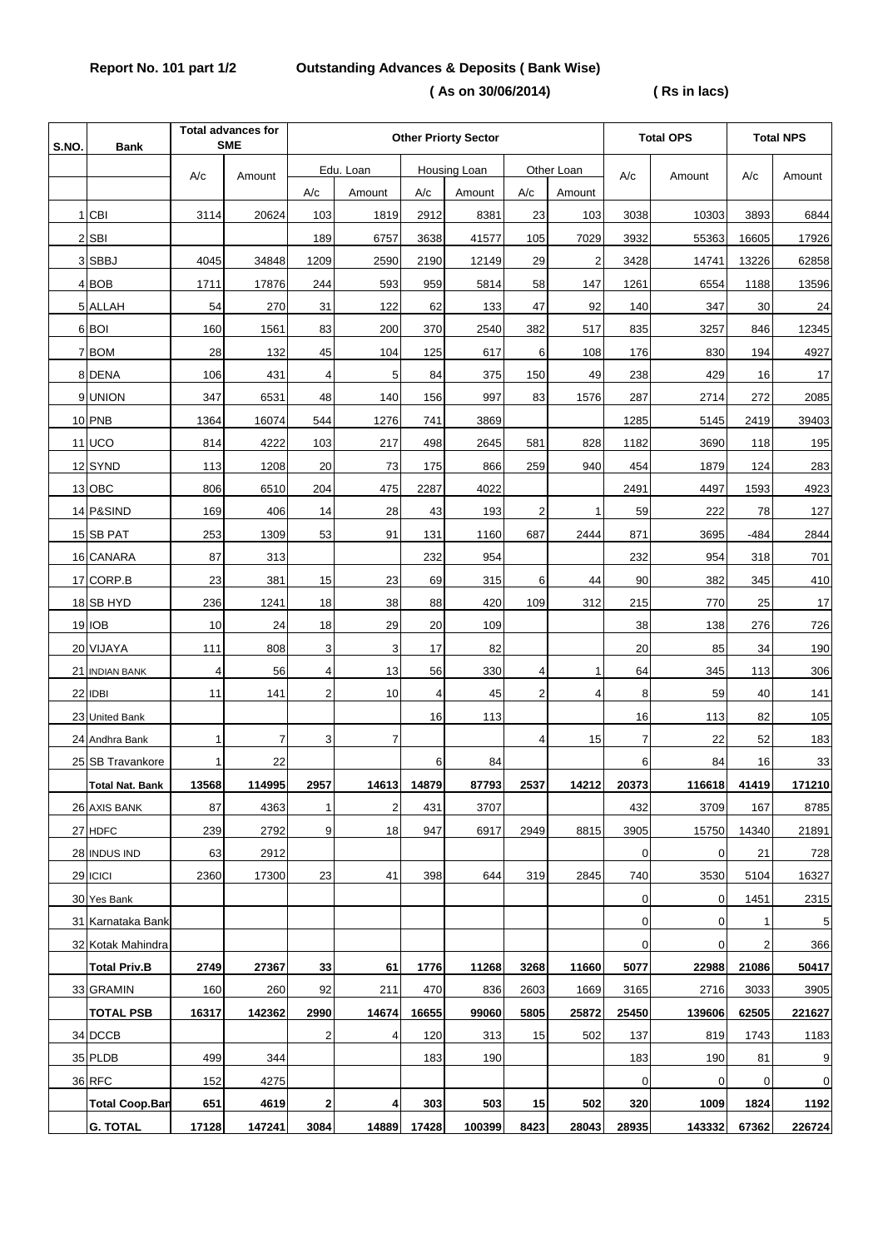## **Report No. 101 part 1/2 Outstanding Advances & Deposits ( Bank Wise)**

 **( As on 30/06/2014) ( Rs in lacs)**

| S.NO | <b>Bank</b>            | <b>Total advances for</b><br><b>SME</b> |        | <b>Other Priorty Sector</b> |           |                |              |                |                | <b>Total OPS</b> |        | <b>Total NPS</b> |        |
|------|------------------------|-----------------------------------------|--------|-----------------------------|-----------|----------------|--------------|----------------|----------------|------------------|--------|------------------|--------|
|      |                        | A/c                                     | Amount |                             | Edu. Loan |                | Housing Loan |                | Other Loan     | A/c              | Amount | A/c              | Amount |
|      |                        |                                         |        | $\mathsf{A}/\mathsf{c}$     | Amount    | A/c            | Amount       | A/c            | Amount         |                  |        |                  |        |
|      | 1 CBI                  | 3114                                    | 20624  | 103                         | 1819      | 2912           | 8381         | 23             | 103            | 3038             | 10303  | 3893             | 6844   |
|      | $2$ $SBI$              |                                         |        | 189                         | 6757      | 3638           | 41577        | 105            | 7029           | 3932             | 55363  | 16605            | 17926  |
|      | 3 SBBJ                 | 4045                                    | 34848  | 1209                        | 2590      | 2190           | 12149        | 29             | $\overline{2}$ | 3428             | 14741  | 13226            | 62858  |
|      | 4 BOB                  | 1711                                    | 17876  | 244                         | 593       | 959            | 5814         | 58             | 147            | 1261             | 6554   | 1188             | 13596  |
|      | 5 ALLAH                | 54                                      | 270    | 31                          | 122       | 62             | 133          | 47             | 92             | 140              | 347    | 30               | 24     |
|      | 6 BOI                  | 160                                     | 1561   | 83                          | 200       | 370            | 2540         | 382            | 517            | 835              | 3257   | 846              | 12345  |
|      | 7 BOM                  | 28                                      | 132    | 45                          | 104       | 125            | 617          | 6              | 108            | 176              | 830    | 194              | 4927   |
|      | 8 DENA                 | 106                                     | 431    | 4                           | 5         | 84             | 375          | 150            | 49             | 238              | 429    | 16               | 17     |
|      | 9 UNION                | 347                                     | 6531   | 48                          | 140       | 156            | 997          | 83             | 1576           | 287              | 2714   | 272              | 2085   |
|      | 10 PNB                 | 1364                                    | 16074  | 544                         | 1276      | 741            | 3869         |                |                | 1285             | 5145   | 2419             | 39403  |
|      | <b>11 UCO</b>          | 814                                     | 4222   | 103                         | 217       | 498            | 2645         | 581            | 828            | 1182             | 3690   | 118              | 195    |
|      | 12 SYND                | 113                                     | 1208   | 20                          | 73        | 175            | 866          | 259            | 940            | 454              | 1879   | 124              | 283    |
|      | 13 OBC                 | 806                                     | 6510   | 204                         | 475       | 2287           | 4022         |                |                | 2491             | 4497   | 1593             | 4923   |
|      | 14 P&SIND              | 169                                     | 406    | 14                          | 28        | 43             | 193          | 2              | $\mathbf{1}$   | 59               | 222    | 78               | 127    |
|      | 15 SB PAT              | 253                                     | 1309   | 53                          | 91        | 131            | 1160         | 687            | 2444           | 871              | 3695   | $-484$           | 2844   |
|      | 16 CANARA              | 87                                      | 313    |                             |           | 232            | 954          |                |                | 232              | 954    | 318              | 701    |
|      | 17 CORP.B              | 23                                      | 381    | 15                          | 23        | 69             | 315          | 6              | 44             | 90               | 382    | 345              | 410    |
|      | 18 SB HYD              | 236                                     | 1241   | 18                          | 38        | 88             | 420          | 109            | 312            | 215              | 770    | 25               | 17     |
|      | 19 IOB                 | 10                                      | 24     | 18                          | 29        | 20             | 109          |                |                | 38               | 138    | 276              | 726    |
|      | 20 VIJAYA              | 111                                     | 808    | 3                           | 3         | 17             | 82           |                |                | 20               | 85     | 34               | 190    |
|      | 21 INDIAN BANK         | $\overline{4}$                          | 56     | $\overline{4}$              | 13        | 56             | 330          | $\overline{4}$ | $\mathbf{1}$   | 64               | 345    | 113              | 306    |
|      | 22 IDBI                | 11                                      | 141    | $\overline{2}$              | 10        | $\overline{4}$ | 45           | $\overline{2}$ | $\overline{4}$ | 8                | 59     | 40               | 141    |
|      | 23 United Bank         |                                         |        |                             |           | 16             | 113          |                |                | 16               | 113    | 82               | 105    |
|      | 24 Andhra Bank         | 1                                       | 7      | 3                           | 7         |                |              | 4              | 15             | 7                | 22     | 52               | 183    |
|      | 25 SB Travankore       | 1                                       | 22     |                             |           | 6              | 84           |                |                | 6                | 84     | 16               | 33     |
|      | <b>Total Nat. Bank</b> | 13568                                   | 114995 | 2957                        | 14613     | 14879          | 87793        | 2537           | 14212          | 20373            | 116618 | 41419            | 171210 |
|      | 26 AXIS BANK           | 87                                      | 4363   | 1                           | 2         | 431            | 3707         |                |                | 432              | 3709   | 167              | 8785   |
|      | 27 HDFC                | 239                                     | 2792   | 9                           | 18        | 947            | 6917         | 2949           | 8815           | 3905             | 15750  | 14340            | 21891  |
|      | 28 INDUS IND           | 63                                      | 2912   |                             |           |                |              |                |                | $\overline{0}$   | 0      | 21               | 728    |
|      | 29 ICICI               | 2360                                    | 17300  | 23                          | 41        | 398            | 644          | 319            | 2845           | 740              | 3530   | 5104             | 16327  |
|      | 30 Yes Bank            |                                         |        |                             |           |                |              |                |                | $\mathbf 0$      | 0      | 1451             | 2315   |
|      | 31 Karnataka Bank      |                                         |        |                             |           |                |              |                |                | $\mathbf 0$      | 0      | 1                | 5      |
|      | 32 Kotak Mahindra      |                                         |        |                             |           |                |              |                |                | $\mathbf 0$      | 0      | 2                | 366    |
|      | <b>Total Priv.B</b>    | 2749                                    | 27367  | 33                          | 61        | 1776           | 11268        | 3268           | 11660          | 5077             | 22988  | 21086            | 50417  |
|      | 33 GRAMIN              | 160                                     | 260    | 92                          | 211       | 470            | 836          | 2603           | 1669           | 3165             | 2716   | 3033             | 3905   |
|      | <b>TOTAL PSB</b>       | 16317                                   | 142362 | 2990                        | 14674     | 16655          | 99060        | 5805           | 25872          | 25450            | 139606 | 62505            | 221627 |
|      | 34 DCCB                |                                         |        | $\overline{c}$              | 4         | 120            | 313          | 15             | 502            | 137              | 819    | 1743             | 1183   |
|      | 35 PLDB                | 499                                     | 344    |                             |           | 183            | 190          |                |                | 183              | 190    | 81               | 9      |
|      | 36 RFC                 | 152                                     | 4275   |                             |           |                |              |                |                | $\mathbf 0$      | 0      | 0                | 0      |
|      | <b>Total Coop.Ban</b>  | 651                                     | 4619   | $\mathbf 2$                 | 4         | 303            | 503          | 15             | 502            | 320              | 1009   | 1824             | 1192   |
|      | <b>G. TOTAL</b>        | 17128                                   | 147241 | 3084                        | 14889     | 17428          | 100399       | 8423           | 28043          | 28935            | 143332 | 67362            | 226724 |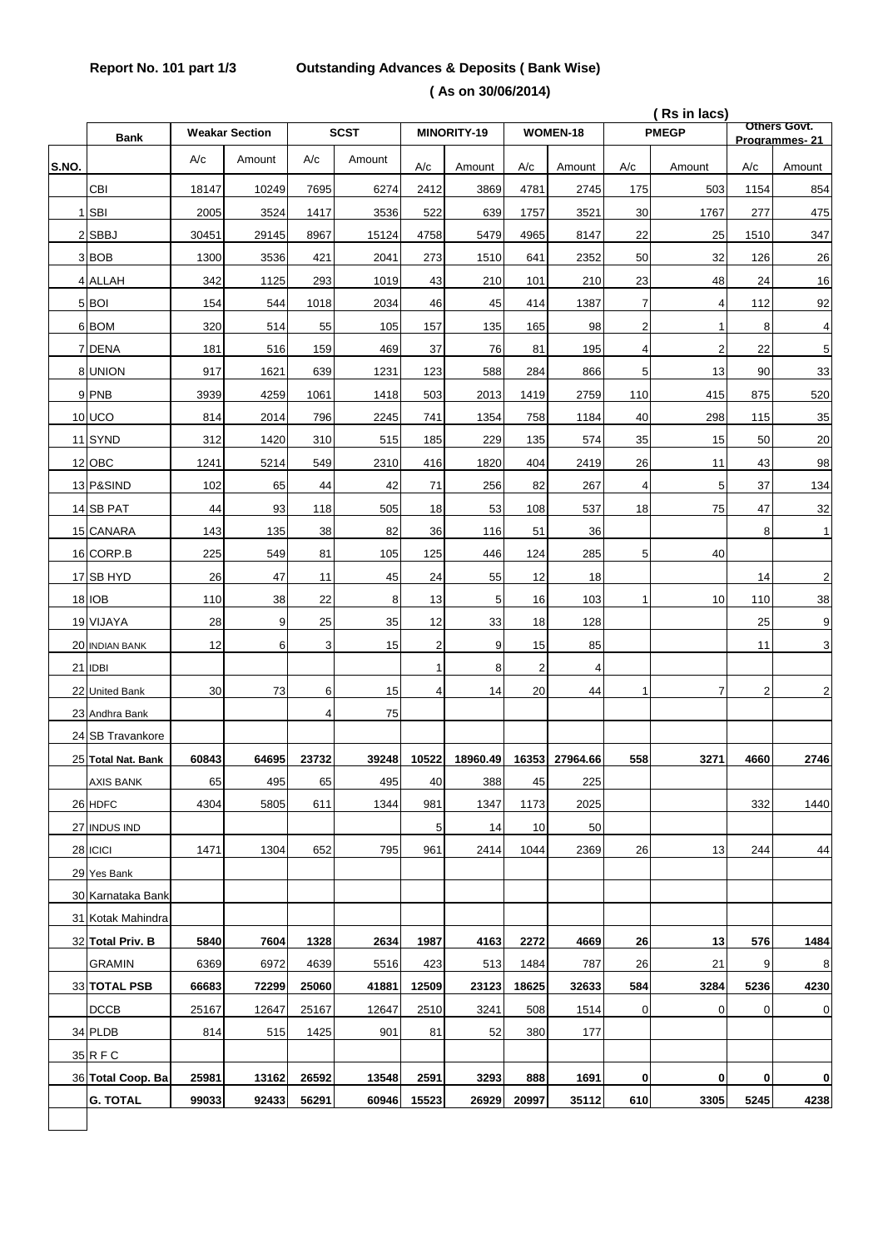## **Report No. 101 part 1/3 Outstanding Advances & Deposits ( Bank Wise) ( As on 30/06/2014)**

|       |                    |       |                       |       |             |                |             |                |          | (Rs in lacs)   |                         | <b>Others Govt.</b> |                  |
|-------|--------------------|-------|-----------------------|-------|-------------|----------------|-------------|----------------|----------|----------------|-------------------------|---------------------|------------------|
|       | <b>Bank</b>        |       | <b>Weakar Section</b> |       | <b>SCST</b> |                | MINORITY-19 |                | WOMEN-18 |                | <b>PMEGP</b>            |                     | Programmes-21    |
| S.NO. |                    | A/c   | Amount                | A/c   | Amount      | A/c            | Amount      | A/c            | Amount   | A/c            | Amount                  | A/c                 | Amount           |
|       | CBI                | 18147 | 10249                 | 7695  | 6274        | 2412           | 3869        | 4781           | 2745     | 175            | 503                     | 1154                | 854              |
|       | 1 SBI              | 2005  | 3524                  | 1417  | 3536        | 522            | 639         | 1757           | 3521     | 30             | 1767                    | 277                 | 475              |
|       | 2 SBBJ             | 30451 | 29145                 | 8967  | 15124       | 4758           | 5479        | 4965           | 8147     | 22             | 25                      | 1510                | 347              |
|       | 3BOB               | 1300  | 3536                  | 421   | 2041        | 273            | 1510        | 641            | 2352     | 50             | 32                      | 126                 | 26               |
|       | 4 ALLAH            | 342   | 1125                  | 293   | 1019        | 43             | 210         | 101            | 210      | 23             | 48                      | 24                  | 16               |
|       | 5 BOI              | 154   | 544                   | 1018  | 2034        | 46             | 45          | 414            | 1387     | $\overline{7}$ | 4                       | 112                 | 92               |
|       | 6 BOM              | 320   | 514                   | 55    | 105         | 157            | 135         | 165            | 98       | $\overline{c}$ | 1                       | 8                   | 4                |
|       | 7 DENA             | 181   | 516                   | 159   | 469         | 37             | 76          | 81             | 195      | $\overline{4}$ | $\overline{\mathbf{c}}$ | 22                  | 5                |
|       | 8 UNION            | 917   | 1621                  | 639   | 1231        | 123            | 588         | 284            | 866      | 5              | 13                      | 90                  | 33               |
|       | 9 PNB              | 3939  | 4259                  | 1061  | 1418        | 503            | 2013        | 1419           | 2759     | 110            | 415                     | 875                 | 520              |
|       | <b>10 UCO</b>      | 814   | 2014                  | 796   | 2245        | 741            | 1354        | 758            | 1184     | 40             | 298                     | 115                 | 35               |
|       | 11 SYND            | 312   | 1420                  | 310   | 515         | 185            | 229         | 135            | 574      | 35             | 15                      | 50                  | 20               |
|       | 12 OBC             | 1241  | 5214                  | 549   | 2310        | 416            | 1820        | 404            | 2419     | 26             | 11                      | 43                  | 98               |
|       | 13 P&SIND          | 102   | 65                    | 44    | 42          | 71             | 256         | 82             | 267      | $\overline{4}$ | 5                       | 37                  | 134              |
|       | 14 SB PAT          | 44    | 93                    | 118   | 505         | 18             | 53          | 108            | 537      | 18             | 75                      | 47                  | 32               |
|       | 15 CANARA          | 143   | 135                   | 38    | 82          | 36             | 116         | 51             | 36       |                |                         | 8                   | 1                |
|       | 16 CORP.B          | 225   | 549                   | 81    | 105         | 125            | 446         | 124            | 285      | 5              | 40                      |                     |                  |
|       | 17 SB HYD          | 26    | 47                    | 11    | 45          | 24             | 55          | 12             | 18       |                |                         | 14                  | $\boldsymbol{2}$ |
|       | <b>18 IOB</b>      | 110   | 38                    | 22    | 8           | 13             | 5           | 16             | 103      | 1              | 10                      | 110                 | 38               |
|       | 19 VIJAYA          | 28    | 9                     | 25    | 35          | 12             | 33          | 18             | 128      |                |                         | 25                  | 9                |
|       | 20 INDIAN BANK     | 12    | 6                     | 3     | 15          | $\overline{c}$ | 9           | 15             | 85       |                |                         | 11                  | 3                |
|       | 21 IDBI            |       |                       |       |             | $\mathbf{1}$   | 8           | $\overline{2}$ | 4        |                |                         |                     |                  |
|       | 22 United Bank     | 30    | 73                    | 6     | 15          | 4              | 14          | 20             | 44       | 1              | $\overline{7}$          | 2                   | $\overline{2}$   |
|       | 23 Andhra Bank     |       |                       | 4     | 75          |                |             |                |          |                |                         |                     |                  |
|       | 24 SB Travankore   |       |                       |       |             |                |             |                |          |                |                         |                     |                  |
|       | 25 Total Nat. Bank | 60843 | 64695                 | 23732 | 39248       | 10522          | 18960.49    | 16353          | 27964.66 | 558            | 3271                    | 4660                | 2746             |
|       | <b>AXIS BANK</b>   | 65    | 495                   | 65    | 495         | 40             | 388         | 45             | 225      |                |                         |                     |                  |
|       | 26 HDFC            | 4304  | 5805                  | 611   | 1344        | 981            | 1347        | 1173           | 2025     |                |                         | 332                 | 1440             |
|       | 27 INDUS IND       |       |                       |       |             | 5              | 14          | 10             | 50       |                |                         |                     |                  |
|       | 28 ICICI           | 1471  | 1304                  | 652   | 795         | 961            | 2414        | 1044           | 2369     | 26             | 13                      | 244                 | 44               |
|       | 29 Yes Bank        |       |                       |       |             |                |             |                |          |                |                         |                     |                  |
|       | 30 Karnataka Bank  |       |                       |       |             |                |             |                |          |                |                         |                     |                  |
|       | 31 Kotak Mahindra  |       |                       |       |             |                |             |                |          |                |                         |                     |                  |
|       | 32 Total Priv. B   | 5840  | 7604                  | 1328  | 2634        | 1987           | 4163        | 2272           | 4669     | 26             | 13                      | 576                 | 1484             |
|       | GRAMIN             | 6369  | 6972                  | 4639  | 5516        | 423            | 513         | 1484           | 787      | 26             | 21                      | 9                   | 8                |
|       | 33 TOTAL PSB       | 66683 | 72299                 | 25060 | 41881       | 12509          | 23123       | 18625          | 32633    | 584            | 3284                    | 5236                | 4230             |
|       | <b>DCCB</b>        | 25167 | 12647                 | 25167 | 12647       | 2510           | 3241        | 508            | 1514     | $\mathbf 0$    | 0                       | 0                   | 0                |
|       | 34 PLDB            | 814   | 515                   | 1425  | 901         | 81             | 52          | 380            | 177      |                |                         |                     |                  |
|       | 35 R F C           |       |                       |       |             |                |             |                |          |                |                         |                     |                  |
|       | 36 Total Coop. Ba  | 25981 | 13162                 | 26592 | 13548       | 2591           | 3293        | 888            | 1691     | $\mathbf{0}$   | 0                       | 0                   | 0                |
|       | <b>G. TOTAL</b>    | 99033 | 92433                 | 56291 | 60946       | 15523          | 26929       | 20997          | 35112    | 610            | 3305                    | 5245                | 4238             |